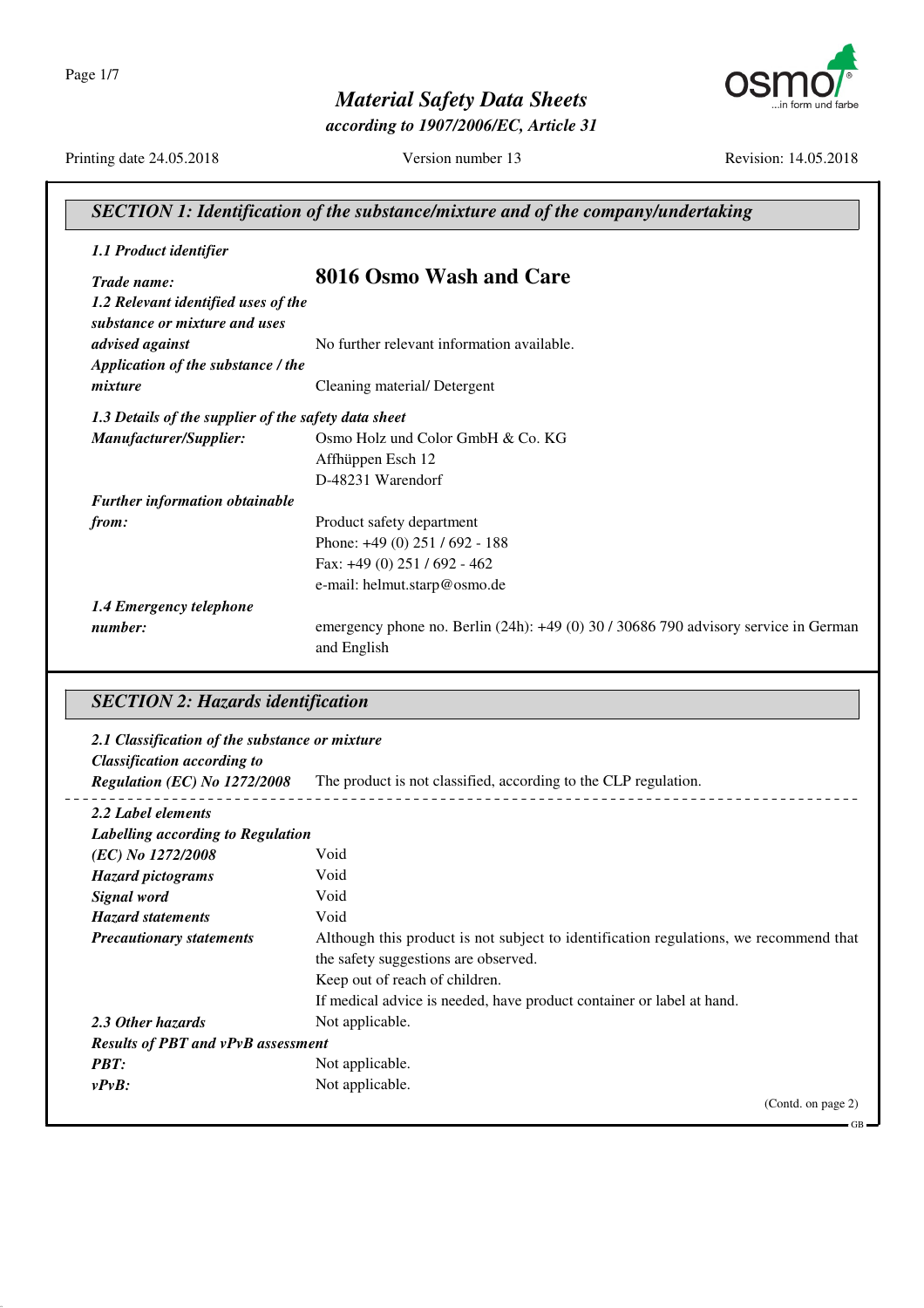Page 1/7



*according to 1907/2006/EC, Article 31*



Printing date 24.05.2018 Version number 13 Revision: 14.05.2018

| SECTION 1: Identification of the substance/mixture and of the company/undertaking |                                                                                                        |
|-----------------------------------------------------------------------------------|--------------------------------------------------------------------------------------------------------|
| 1.1 Product identifier                                                            |                                                                                                        |
| Trade name:                                                                       | 8016 Osmo Wash and Care                                                                                |
| 1.2 Relevant identified uses of the<br>substance or mixture and uses              |                                                                                                        |
| advised against                                                                   | No further relevant information available.                                                             |
| Application of the substance / the                                                |                                                                                                        |
| mixture                                                                           | Cleaning material/Detergent                                                                            |
| 1.3 Details of the supplier of the safety data sheet                              |                                                                                                        |
| Manufacturer/Supplier:                                                            | Osmo Holz und Color GmbH & Co. KG                                                                      |
|                                                                                   | Affhüppen Esch 12                                                                                      |
|                                                                                   | D-48231 Warendorf                                                                                      |
| <b>Further information obtainable</b>                                             |                                                                                                        |
| from:                                                                             | Product safety department                                                                              |
|                                                                                   | Phone: +49 (0) 251 / 692 - 188                                                                         |
|                                                                                   | Fax: $+49(0)$ 251 / 692 - 462                                                                          |
|                                                                                   | e-mail: helmut.starp@osmo.de                                                                           |
| 1.4 Emergency telephone                                                           |                                                                                                        |
| number:                                                                           | emergency phone no. Berlin $(24h)$ : $+49(0)$ 30 / 30686 790 advisory service in German<br>and English |

## *SECTION 2: Hazards identification*

| 2.1 Classification of the substance or mixture |                                                                                       |
|------------------------------------------------|---------------------------------------------------------------------------------------|
| <b>Classification according to</b>             |                                                                                       |
| Regulation (EC) No 1272/2008                   | The product is not classified, according to the CLP regulation.                       |
| 2.2 Label elements                             |                                                                                       |
| Labelling according to Regulation              |                                                                                       |
| (EC) No 1272/2008                              | Void                                                                                  |
| <b>Hazard pictograms</b>                       | Void                                                                                  |
| Signal word                                    | Void                                                                                  |
| <b>Hazard statements</b>                       | Void                                                                                  |
| <b>Precautionary statements</b>                | Although this product is not subject to identification regulations, we recommend that |
|                                                | the safety suggestions are observed.                                                  |
|                                                | Keep out of reach of children.                                                        |
|                                                | If medical advice is needed, have product container or label at hand.                 |
| 2.3 Other hazards                              | Not applicable.                                                                       |
| <b>Results of PBT and vPvB assessment</b>      |                                                                                       |
| <b>PBT:</b>                                    | Not applicable.                                                                       |
| $v P v B$ :                                    | Not applicable.                                                                       |
|                                                | (Contd. on page 2)                                                                    |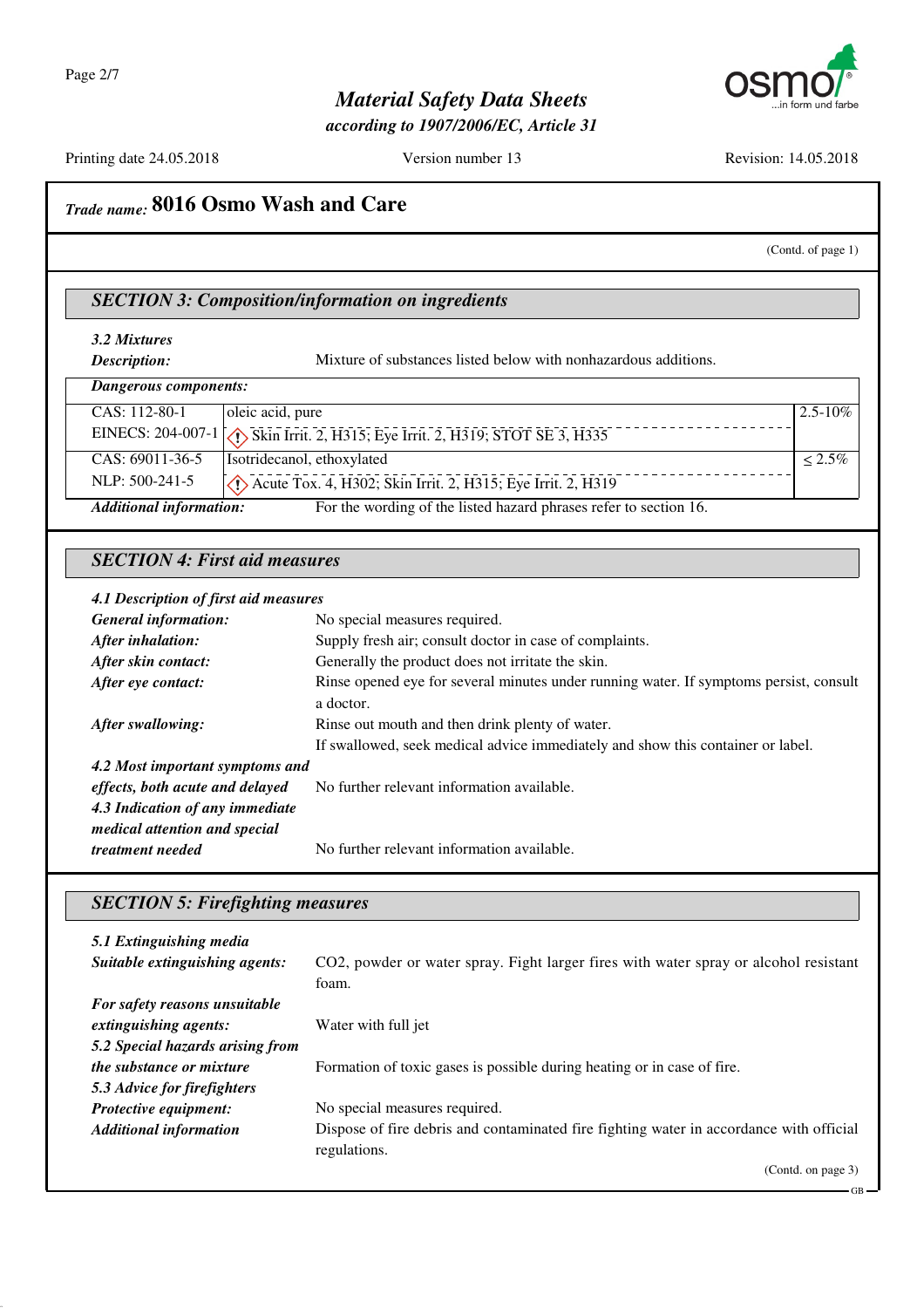

*according to 1907/2006/EC, Article 31*

Printing date 24.05.2018 Version number 13 Revision: 14.05.2018

## *Trade name:* **8016 Osmo Wash and Care**

#### (Contd. of page 1)

GB

#### *SECTION 3: Composition/information on ingredients*

*3.2 Mixtures*

*Description:* Mixture of substances listed below with nonhazardous additions.

| Dangerous components:          |                                                                                     |              |
|--------------------------------|-------------------------------------------------------------------------------------|--------------|
| CAS: 112-80-1                  | oleic acid, pure                                                                    | $2.5 - 10\%$ |
|                                | EINECS: 204-007-1 \\ Skin Irrit. 2, H315; Eye Irrit. 2, H319; STOT SE 3, H335       |              |
| $CAS: 69011-36-5$              | Isotridecanol, ethoxylated                                                          | $< 2.5\%$    |
| NLP: $500-241-5$               | $\langle \cdot \rangle$ Acute Tox. 4, H302; Skin Irrit. 2, H315; Eye Irrit. 2, H319 |              |
| <b>Additional information:</b> | For the wording of the listed hazard phrases refer to section 16.                   |              |

#### *SECTION 4: First aid measures*

#### *4.1 Description of first aid measures*

| <b>General information:</b>     | No special measures required.                                                          |
|---------------------------------|----------------------------------------------------------------------------------------|
| After inhalation:               | Supply fresh air; consult doctor in case of complaints.                                |
| After skin contact:             | Generally the product does not irritate the skin.                                      |
| After eye contact:              | Rinse opened eye for several minutes under running water. If symptoms persist, consult |
|                                 | a doctor.                                                                              |
| After swallowing:               | Rinse out mouth and then drink plenty of water.                                        |
|                                 | If swallowed, seek medical advice immediately and show this container or label.        |
| 4.2 Most important symptoms and |                                                                                        |
| effects, both acute and delayed | No further relevant information available.                                             |
| 4.3 Indication of any immediate |                                                                                        |
| medical attention and special   |                                                                                        |
| treatment needed                | No further relevant information available.                                             |

### *SECTION 5: Firefighting measures*

| 5.1 Extinguishing media          |                                                                                         |
|----------------------------------|-----------------------------------------------------------------------------------------|
| Suitable extinguishing agents:   | CO2, powder or water spray. Fight larger fires with water spray or alcohol resistant    |
|                                  | foam.                                                                                   |
| For safety reasons unsuitable    |                                                                                         |
| extinguishing agents:            | Water with full jet                                                                     |
| 5.2 Special hazards arising from |                                                                                         |
| <i>the substance or mixture</i>  | Formation of toxic gases is possible during heating or in case of fire.                 |
| 5.3 Advice for firefighters      |                                                                                         |
| Protective equipment:            | No special measures required.                                                           |
| <b>Additional information</b>    | Dispose of fire debris and contaminated fire fighting water in accordance with official |
|                                  | regulations.                                                                            |
|                                  | (Contd. on page 3)                                                                      |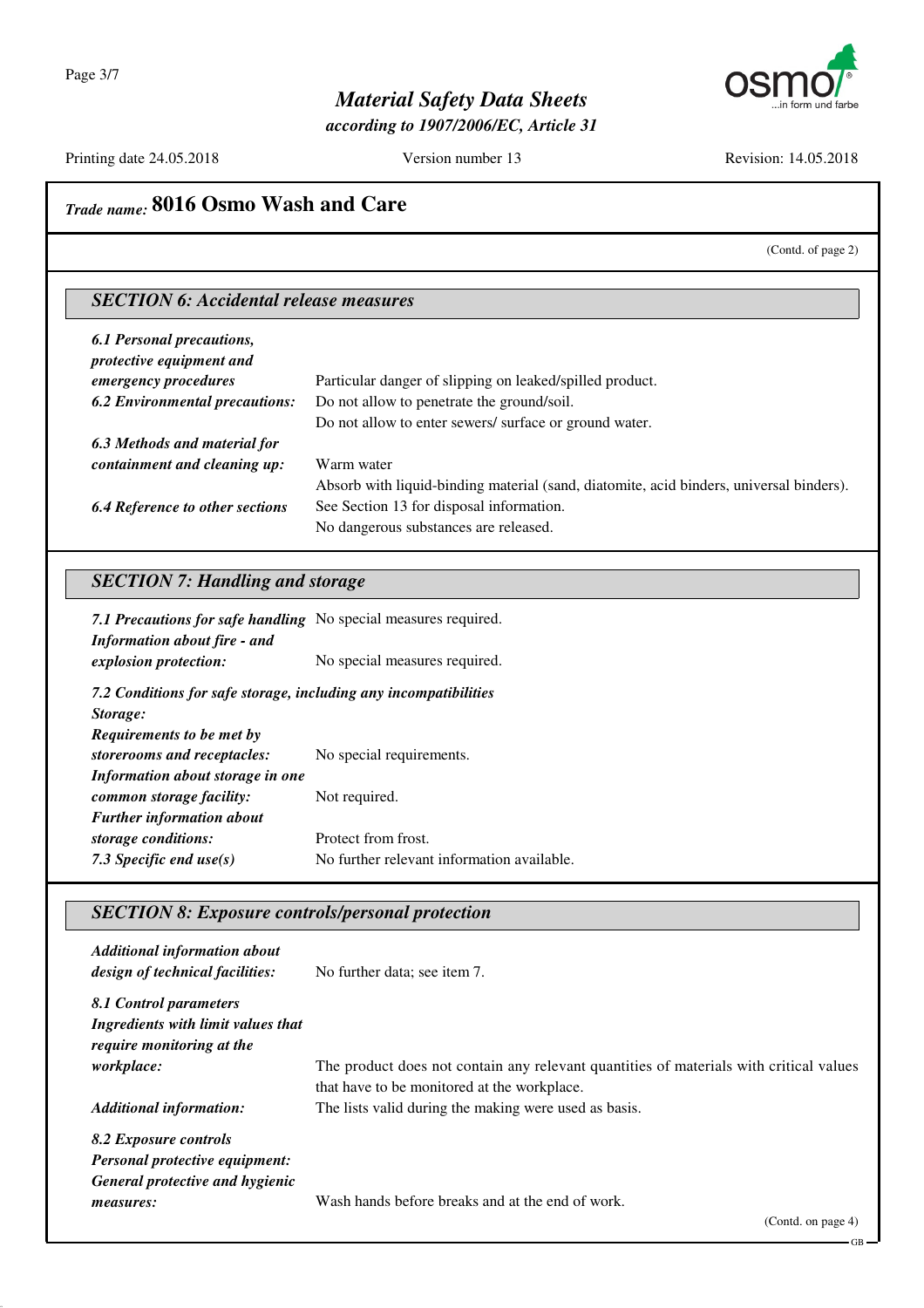

*according to 1907/2006/EC, Article 31*

Printing date 24.05.2018 Version number 13 Revision: 14.05.2018

## *Trade name:* **8016 Osmo Wash and Care**

(Contd. of page 2)

### *SECTION 6: Accidental release measures*

| 6.1 Personal precautions,<br>protective equipment and |                                                                                         |
|-------------------------------------------------------|-----------------------------------------------------------------------------------------|
| emergency procedures                                  | Particular danger of slipping on leaked/spilled product.                                |
| <b>6.2 Environmental precautions:</b>                 | Do not allow to penetrate the ground/soil.                                              |
|                                                       | Do not allow to enter sewers/ surface or ground water.                                  |
| 6.3 Methods and material for                          |                                                                                         |
| containment and cleaning up:                          | Warm water                                                                              |
|                                                       | Absorb with liquid-binding material (sand, diatomite, acid binders, universal binders). |
| <b>6.4 Reference to other sections</b>                | See Section 13 for disposal information.                                                |
|                                                       | No dangerous substances are released.                                                   |

### *SECTION 7: Handling and storage*

| 7.1 Precautions for safe handling No special measures required.<br><b>Information about fire - and</b> |                                            |
|--------------------------------------------------------------------------------------------------------|--------------------------------------------|
| explosion protection:                                                                                  | No special measures required.              |
| 7.2 Conditions for safe storage, including any incompatibilities                                       |                                            |
| Storage:                                                                                               |                                            |
| Requirements to be met by                                                                              |                                            |
| storerooms and receptacles:                                                                            | No special requirements.                   |
| Information about storage in one                                                                       |                                            |
| common storage facility:                                                                               | Not required.                              |
| <b>Further information about</b>                                                                       |                                            |
| storage conditions:                                                                                    | Protect from frost.                        |
| 7.3 Specific end use $(s)$                                                                             | No further relevant information available. |

#### *SECTION 8: Exposure controls/personal protection*

| <b>Additional information about</b><br>design of technical facilities:                            | No further data; see item 7.                                                                                                          |
|---------------------------------------------------------------------------------------------------|---------------------------------------------------------------------------------------------------------------------------------------|
| 8.1 Control parameters<br>Ingredients with limit values that<br><i>require monitoring at the</i>  |                                                                                                                                       |
| <i>workplace:</i>                                                                                 | The product does not contain any relevant quantities of materials with critical values<br>that have to be monitored at the workplace. |
| <b>Additional information:</b>                                                                    | The lists valid during the making were used as basis.                                                                                 |
| 8.2 Exposure controls<br><b>Personal protective equipment:</b><br>General protective and hygienic |                                                                                                                                       |
| measures:                                                                                         | Wash hands before breaks and at the end of work.                                                                                      |

GB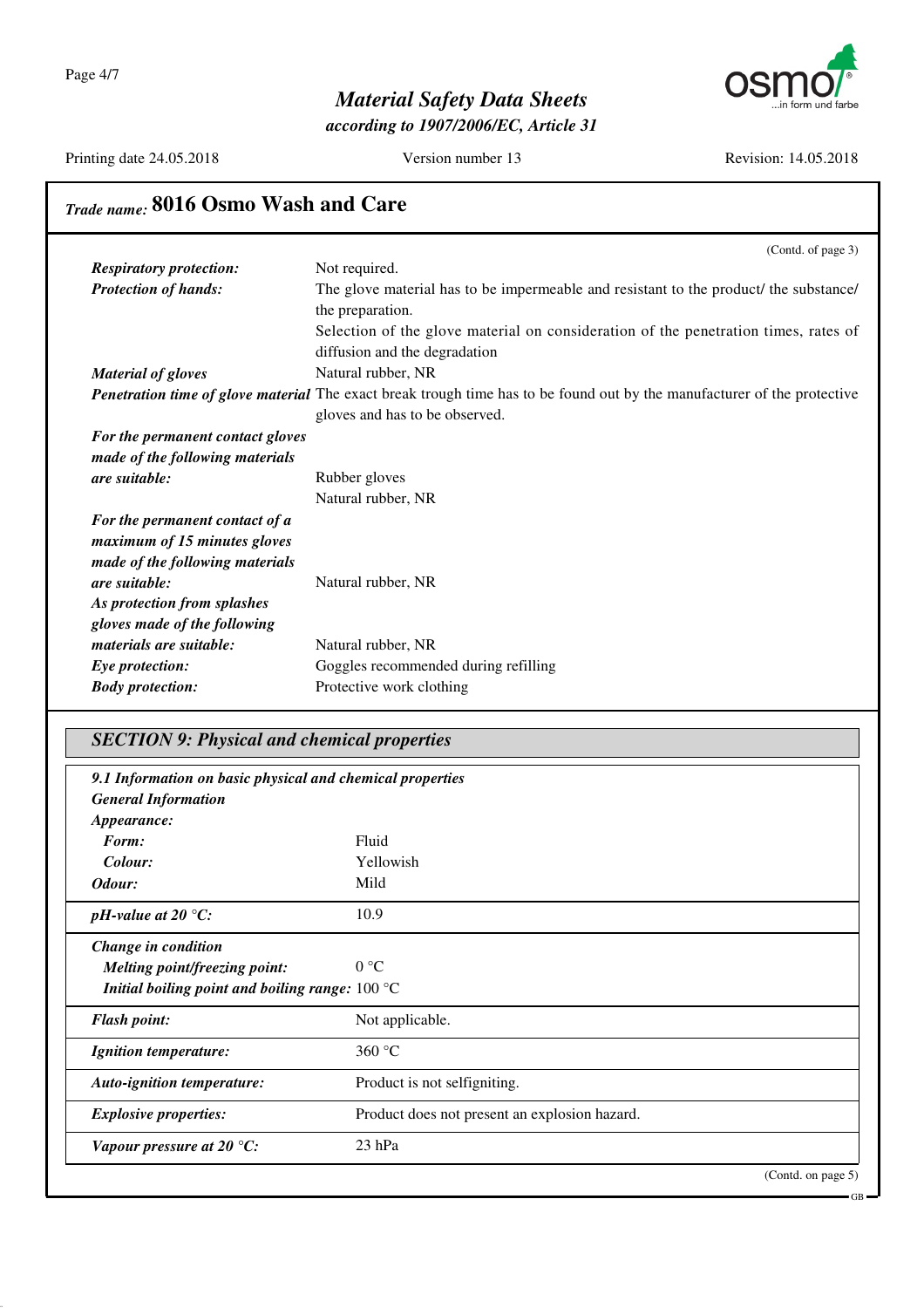Page 4/7



## *Material Safety Data Sheets*

*according to 1907/2006/EC, Article 31*

Printing date 24.05.2018 Version number 13 Revision: 14.05.2018

GB

# *Trade name:* **8016 Osmo Wash and Care**

|                                  | (Contd. of page 3)                                                                                                                                                |
|----------------------------------|-------------------------------------------------------------------------------------------------------------------------------------------------------------------|
| <b>Respiratory protection:</b>   | Not required.                                                                                                                                                     |
| <b>Protection of hands:</b>      | The glove material has to be impermeable and resistant to the product/ the substance/<br>the preparation.                                                         |
|                                  | Selection of the glove material on consideration of the penetration times, rates of<br>diffusion and the degradation                                              |
| <b>Material of gloves</b>        | Natural rubber, NR                                                                                                                                                |
|                                  | <b>Penetration time of glove material</b> The exact break trough time has to be found out by the manufacturer of the protective<br>gloves and has to be observed. |
| For the permanent contact gloves |                                                                                                                                                                   |
| made of the following materials  |                                                                                                                                                                   |
| are suitable:                    | Rubber gloves                                                                                                                                                     |
|                                  | Natural rubber, NR                                                                                                                                                |
| For the permanent contact of a   |                                                                                                                                                                   |
| maximum of 15 minutes gloves     |                                                                                                                                                                   |
| made of the following materials  |                                                                                                                                                                   |
| are suitable:                    | Natural rubber, NR                                                                                                                                                |
| As protection from splashes      |                                                                                                                                                                   |
| gloves made of the following     |                                                                                                                                                                   |
| materials are suitable:          | Natural rubber, NR                                                                                                                                                |
| Eye protection:                  | Goggles recommended during refilling                                                                                                                              |
| <b>Body protection:</b>          | Protective work clothing                                                                                                                                          |
|                                  |                                                                                                                                                                   |

## *SECTION 9: Physical and chemical properties*

| 9.1 Information on basic physical and chemical properties |                                               |                   |
|-----------------------------------------------------------|-----------------------------------------------|-------------------|
| <b>General Information</b>                                |                                               |                   |
| Appearance:                                               |                                               |                   |
| Form:                                                     | Fluid                                         |                   |
| Colour:                                                   | Yellowish                                     |                   |
| Odour:                                                    | Mild                                          |                   |
| pH-value at 20 $^{\circ}C$ :                              | 10.9                                          |                   |
| Change in condition                                       |                                               |                   |
| <b>Melting point/freezing point:</b>                      | 0 °C                                          |                   |
| Initial boiling point and boiling range: $100^{\circ}$ C  |                                               |                   |
| <b>Flash point:</b>                                       | Not applicable.                               |                   |
| <b>Ignition temperature:</b>                              | 360 $\degree$ C                               |                   |
| Auto-ignition temperature:                                | Product is not selfigniting.                  |                   |
| <b>Explosive properties:</b>                              | Product does not present an explosion hazard. |                   |
| Vapour pressure at 20 $^{\circ}C$ :                       | $23$ hPa                                      |                   |
|                                                           |                                               | (Cond. on page 5) |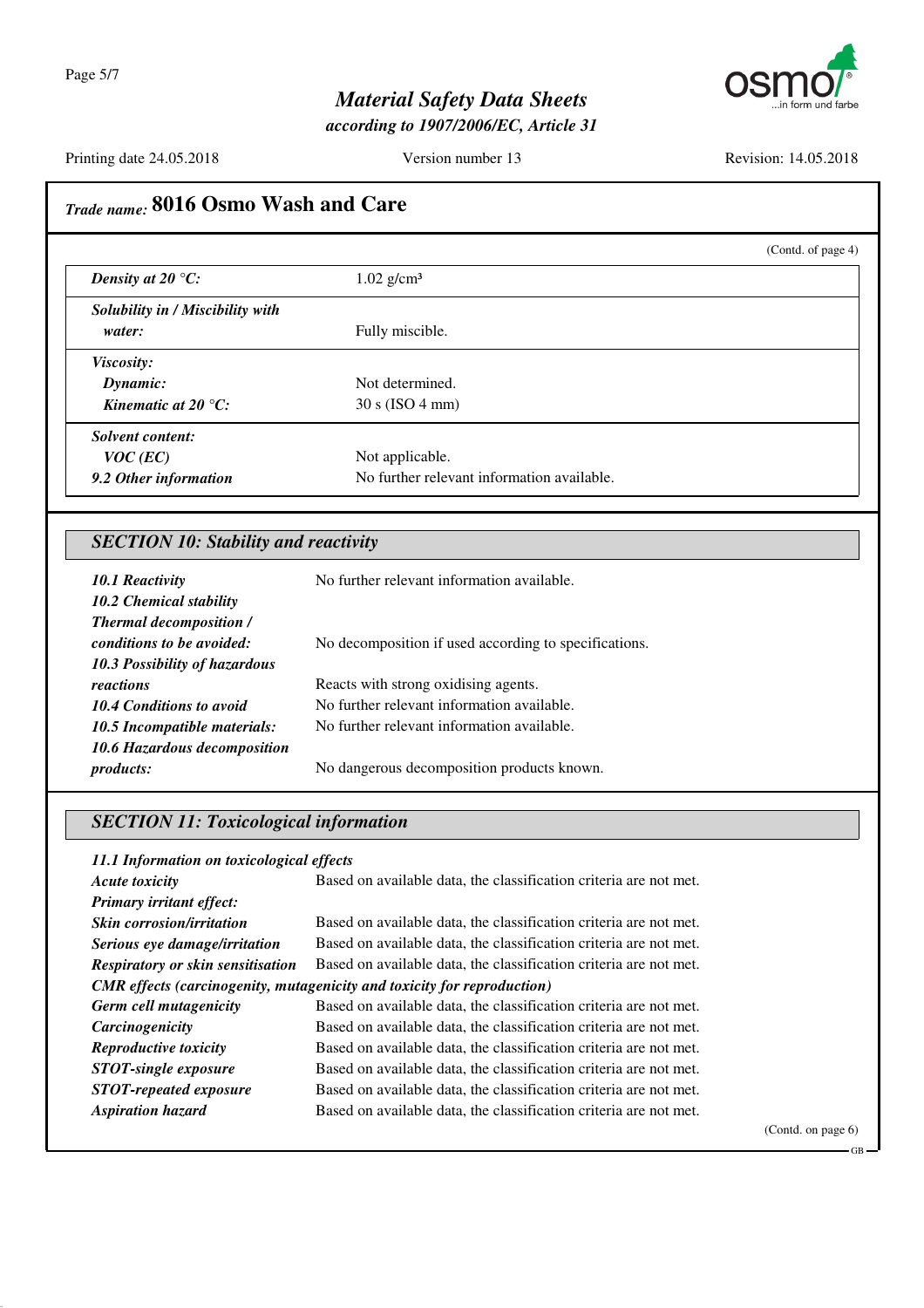

*according to 1907/2006/EC, Article 31*

Printing date 24.05.2018 Version number 13 Revision: 14.05.2018

# *Trade name:* **8016 Osmo Wash and Care**

|                                  | (Contd. of page 4)                         |
|----------------------------------|--------------------------------------------|
| Density at 20 $\mathrm{C}$ :     | $1.02$ g/cm <sup>3</sup>                   |
| Solubility in / Miscibility with |                                            |
| water:                           | Fully miscible.                            |
| <i>Viscosity:</i>                |                                            |
| Dynamic:                         | Not determined.                            |
| Kinematic at 20 $^{\circ}C$ :    | 30 s (ISO 4 mm)                            |
| <b>Solvent content:</b>          |                                            |
| $VOC$ (EC)                       | Not applicable.                            |
| 9.2 Other information            | No further relevant information available. |
|                                  |                                            |

## *SECTION 10: Stability and reactivity*

| <b>10.1 Reactivity</b>               | No further relevant information available.            |
|--------------------------------------|-------------------------------------------------------|
| 10.2 Chemical stability              |                                                       |
| <b>Thermal decomposition /</b>       |                                                       |
| conditions to be avoided:            | No decomposition if used according to specifications. |
| <b>10.3 Possibility of hazardous</b> |                                                       |
| reactions                            | Reacts with strong oxidising agents.                  |
| <b>10.4 Conditions to avoid</b>      | No further relevant information available.            |
| 10.5 Incompatible materials:         | No further relevant information available.            |
| 10.6 Hazardous decomposition         |                                                       |
| <i>products:</i>                     | No dangerous decomposition products known.            |

### *SECTION 11: Toxicological information*

#### *11.1 Information on toxicological effects*

| <b>Acute toxicity</b>                    | Based on available data, the classification criteria are not met.              |
|------------------------------------------|--------------------------------------------------------------------------------|
| Primary irritant effect:                 |                                                                                |
| <b>Skin</b> corrosion/irritation         | Based on available data, the classification criteria are not met.              |
| Serious eye damage/irritation            | Based on available data, the classification criteria are not met.              |
| <b>Respiratory or skin sensitisation</b> | Based on available data, the classification criteria are not met.              |
|                                          | <b>CMR</b> effects (carcinogenity, mutagenicity and toxicity for reproduction) |
| <b>Germ cell mutagenicity</b>            | Based on available data, the classification criteria are not met.              |
| Carcinogenicity                          | Based on available data, the classification criteria are not met.              |
| <b>Reproductive toxicity</b>             | Based on available data, the classification criteria are not met.              |
| <b>STOT-single exposure</b>              | Based on available data, the classification criteria are not met.              |
| <b>STOT-repeated exposure</b>            | Based on available data, the classification criteria are not met.              |
| <b>Aspiration hazard</b>                 | Based on available data, the classification criteria are not met.              |

(Contd. on page 6)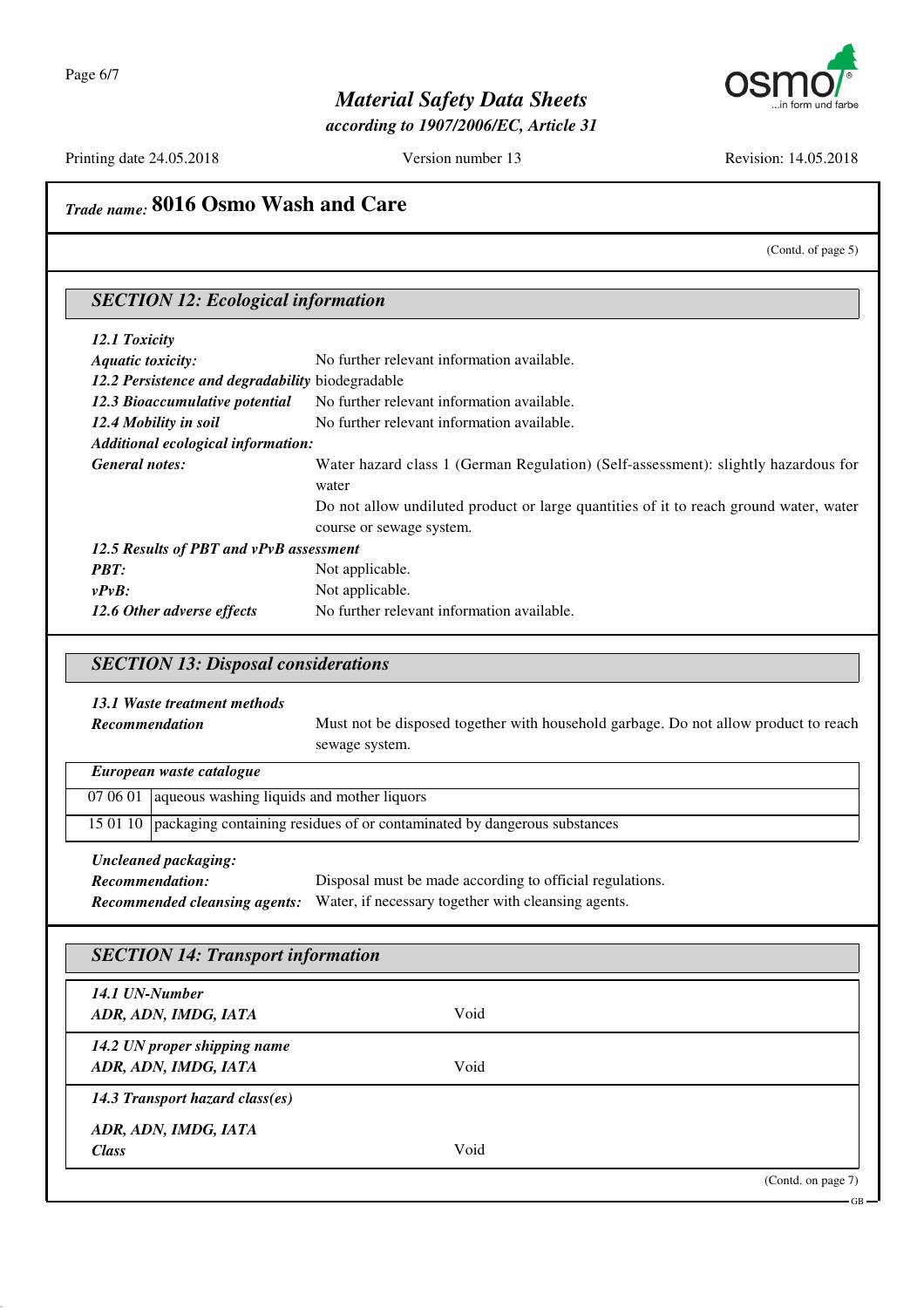

*according to 1907/2006/EC, Article 31*

Printing date 24.05.2018 Version number 13 Revision: 14.05.2018

## *Trade name:* **8016 Osmo Wash and Care**

(Contd. of page 5)

GB

## *SECTION 12: Ecological information*

| 12.1 Toxicity                                    |                                                                                             |
|--------------------------------------------------|---------------------------------------------------------------------------------------------|
| <b>Aquatic toxicity:</b>                         | No further relevant information available.                                                  |
| 12.2 Persistence and degradability biodegradable |                                                                                             |
| 12.3 Bioaccumulative potential                   | No further relevant information available.                                                  |
| 12.4 Mobility in soil                            | No further relevant information available.                                                  |
| Additional ecological information:               |                                                                                             |
| <b>General notes:</b>                            | Water hazard class 1 (German Regulation) (Self-assessment): slightly hazardous for<br>water |
|                                                  | Do not allow undiluted product or large quantities of it to reach ground water, water       |
|                                                  | course or sewage system.                                                                    |
| 12.5 Results of PBT and vPvB assessment          |                                                                                             |
| <b>PBT:</b>                                      | Not applicable.                                                                             |
| $v P v B$ :                                      | Not applicable.                                                                             |
| 12.6 Other adverse effects                       | No further relevant information available.                                                  |

### *SECTION 13: Disposal considerations*

#### *13.1 Waste treatment methods*

*Recommendation* Must not be disposed together with household garbage. Do not allow product to reach sewage system.

| European waste catalogue                            |                                                                                     |
|-----------------------------------------------------|-------------------------------------------------------------------------------------|
| $070601$ aqueous washing liquids and mother liquors |                                                                                     |
|                                                     | 15 01 10   packaging containing residues of or contaminated by dangerous substances |
| Uncleaned packaging:<br>Recommendation.             | Disposal must be made according to official regulations                             |

| <b>Recommendation:</b> | Disposal must be made according to official regulations.                                 |
|------------------------|------------------------------------------------------------------------------------------|
|                        | <b>Recommended cleansing agents:</b> Water, if necessary together with cleansing agents. |

## *SECTION 14: Transport information*

| 14.1 UN-Number<br>ADR, ADN, IMDG, IATA | Void |                    |
|----------------------------------------|------|--------------------|
| 14.2 UN proper shipping name           |      |                    |
| ADR, ADN, IMDG, IATA                   | Void |                    |
| 14.3 Transport hazard class(es)        |      |                    |
| ADR, ADN, IMDG, IATA                   |      |                    |
| <b>Class</b>                           | Void |                    |
|                                        |      | (Contd. on page 7) |